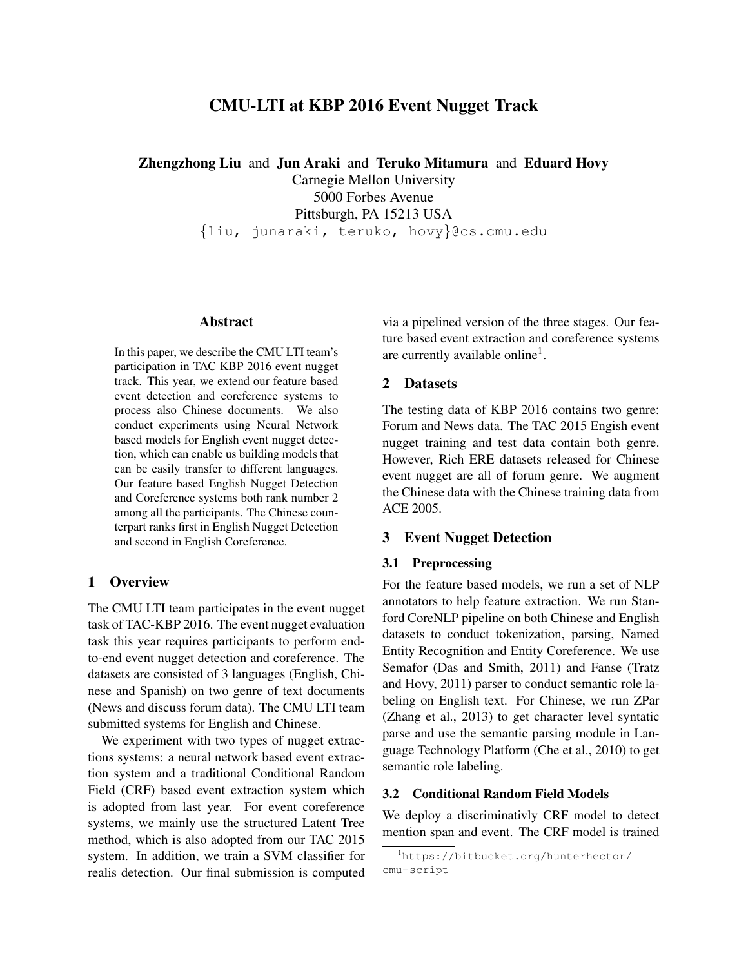# CMU-LTI at KBP 2016 Event Nugget Track

Zhengzhong Liu and Jun Araki and Teruko Mitamura and Eduard Hovy

Carnegie Mellon University 5000 Forbes Avenue Pittsburgh, PA 15213 USA {liu, junaraki, teruko, hovy}@cs.cmu.edu

## Abstract

In this paper, we describe the CMU LTI team's participation in TAC KBP 2016 event nugget track. This year, we extend our feature based event detection and coreference systems to process also Chinese documents. We also conduct experiments using Neural Network based models for English event nugget detection, which can enable us building models that can be easily transfer to different languages. Our feature based English Nugget Detection and Coreference systems both rank number 2 among all the participants. The Chinese counterpart ranks first in English Nugget Detection and second in English Coreference.

### 1 Overview

The CMU LTI team participates in the event nugget task of TAC-KBP 2016. The event nugget evaluation task this year requires participants to perform endto-end event nugget detection and coreference. The datasets are consisted of 3 languages (English, Chinese and Spanish) on two genre of text documents (News and discuss forum data). The CMU LTI team submitted systems for English and Chinese.

We experiment with two types of nugget extractions systems: a neural network based event extraction system and a traditional Conditional Random Field (CRF) based event extraction system which is adopted from last year. For event coreference systems, we mainly use the structured Latent Tree method, which is also adopted from our TAC 2015 system. In addition, we train a SVM classifier for realis detection. Our final submission is computed via a pipelined version of the three stages. Our feature based event extraction and coreference systems are currently available online<sup>1</sup>.

# 2 Datasets

The testing data of KBP 2016 contains two genre: Forum and News data. The TAC 2015 Engish event nugget training and test data contain both genre. However, Rich ERE datasets released for Chinese event nugget are all of forum genre. We augment the Chinese data with the Chinese training data from ACE 2005.

# 3 Event Nugget Detection

### 3.1 Preprocessing

For the feature based models, we run a set of NLP annotators to help feature extraction. We run Stanford CoreNLP pipeline on both Chinese and English datasets to conduct tokenization, parsing, Named Entity Recognition and Entity Coreference. We use Semafor (Das and Smith, 2011) and Fanse (Tratz and Hovy, 2011) parser to conduct semantic role labeling on English text. For Chinese, we run ZPar (Zhang et al., 2013) to get character level syntatic parse and use the semantic parsing module in Language Technology Platform (Che et al., 2010) to get semantic role labeling.

### 3.2 Conditional Random Field Models

We deploy a discriminativly CRF model to detect mention span and event. The CRF model is trained

<sup>1</sup>https://bitbucket.org/hunterhector/ cmu-script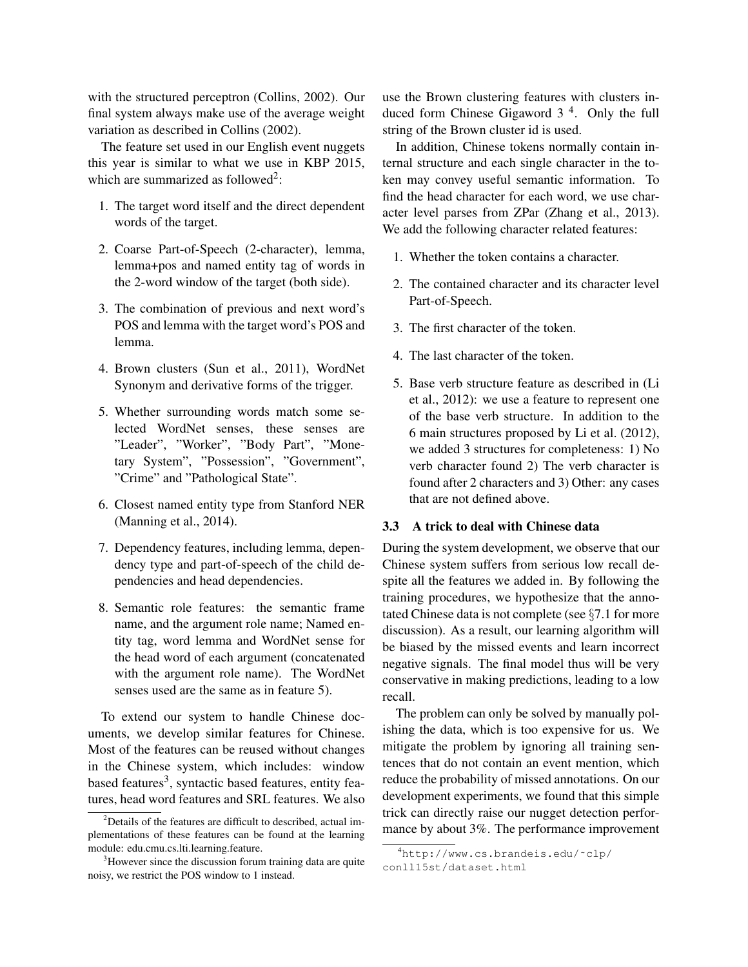with the structured perceptron (Collins, 2002). Our final system always make use of the average weight variation as described in Collins (2002).

The feature set used in our English event nuggets this year is similar to what we use in KBP 2015, which are summarized as followed<sup>2</sup>:

- 1. The target word itself and the direct dependent words of the target.
- 2. Coarse Part-of-Speech (2-character), lemma, lemma+pos and named entity tag of words in the 2-word window of the target (both side).
- 3. The combination of previous and next word's POS and lemma with the target word's POS and lemma.
- 4. Brown clusters (Sun et al., 2011), WordNet Synonym and derivative forms of the trigger.
- 5. Whether surrounding words match some selected WordNet senses, these senses are "Leader", "Worker", "Body Part", "Monetary System", "Possession", "Government", "Crime" and "Pathological State".
- 6. Closest named entity type from Stanford NER (Manning et al., 2014).
- 7. Dependency features, including lemma, dependency type and part-of-speech of the child dependencies and head dependencies.
- 8. Semantic role features: the semantic frame name, and the argument role name; Named entity tag, word lemma and WordNet sense for the head word of each argument (concatenated with the argument role name). The WordNet senses used are the same as in feature 5).

To extend our system to handle Chinese documents, we develop similar features for Chinese. Most of the features can be reused without changes in the Chinese system, which includes: window based features<sup>3</sup>, syntactic based features, entity features, head word features and SRL features. We also use the Brown clustering features with clusters induced form Chinese Gigaword 3<sup>4</sup>. Only the full string of the Brown cluster id is used.

In addition, Chinese tokens normally contain internal structure and each single character in the token may convey useful semantic information. To find the head character for each word, we use character level parses from ZPar (Zhang et al., 2013). We add the following character related features:

- 1. Whether the token contains a character.
- 2. The contained character and its character level Part-of-Speech.
- 3. The first character of the token.
- 4. The last character of the token.
- 5. Base verb structure feature as described in (Li et al., 2012): we use a feature to represent one of the base verb structure. In addition to the 6 main structures proposed by Li et al. (2012), we added 3 structures for completeness: 1) No verb character found 2) The verb character is found after 2 characters and 3) Other: any cases that are not defined above.

# 3.3 A trick to deal with Chinese data

During the system development, we observe that our Chinese system suffers from serious low recall despite all the features we added in. By following the training procedures, we hypothesize that the annotated Chinese data is not complete (see §7.1 for more discussion). As a result, our learning algorithm will be biased by the missed events and learn incorrect negative signals. The final model thus will be very conservative in making predictions, leading to a low recall.

The problem can only be solved by manually polishing the data, which is too expensive for us. We mitigate the problem by ignoring all training sentences that do not contain an event mention, which reduce the probability of missed annotations. On our development experiments, we found that this simple trick can directly raise our nugget detection performance by about 3%. The performance improvement

 $2$ Details of the features are difficult to described, actual implementations of these features can be found at the learning module: edu.cmu.cs.lti.learning.feature.

<sup>&</sup>lt;sup>3</sup>However since the discussion forum training data are quite noisy, we restrict the POS window to 1 instead.

<sup>4</sup>http://www.cs.brandeis.edu/˜clp/ conll15st/dataset.html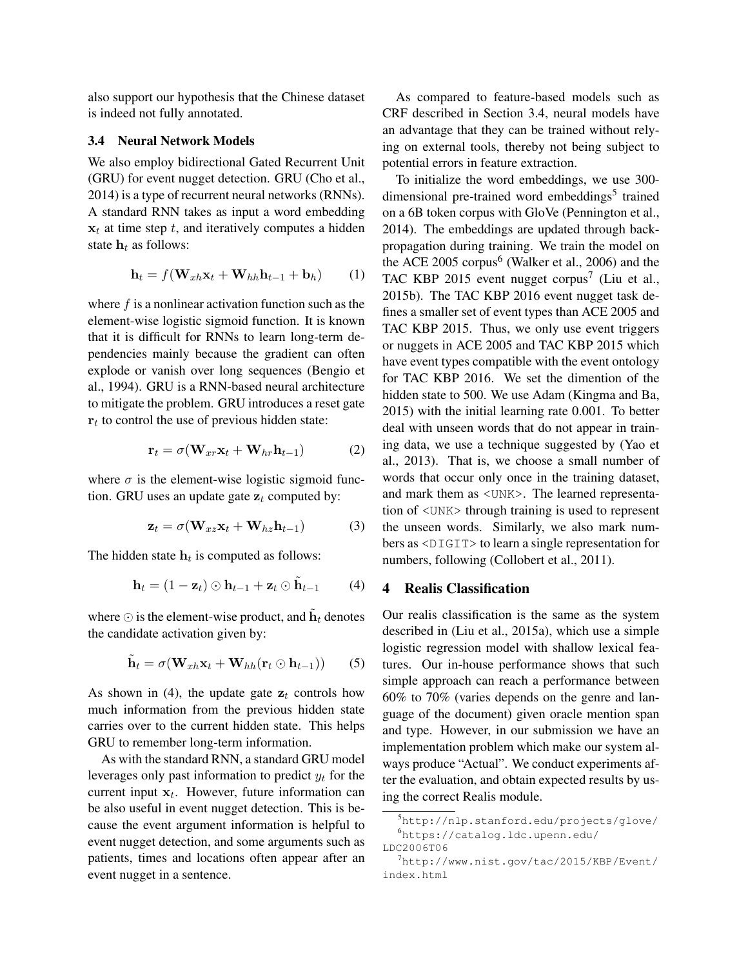also support our hypothesis that the Chinese dataset is indeed not fully annotated.

### 3.4 Neural Network Models

We also employ bidirectional Gated Recurrent Unit (GRU) for event nugget detection. GRU (Cho et al., 2014) is a type of recurrent neural networks (RNNs). A standard RNN takes as input a word embedding  $x_t$  at time step t, and iteratively computes a hidden state  $h_t$  as follows:

$$
\mathbf{h}_t = f(\mathbf{W}_{xh}\mathbf{x}_t + \mathbf{W}_{hh}\mathbf{h}_{t-1} + \mathbf{b}_h)
$$
 (1)

where  $f$  is a nonlinear activation function such as the element-wise logistic sigmoid function. It is known that it is difficult for RNNs to learn long-term dependencies mainly because the gradient can often explode or vanish over long sequences (Bengio et al., 1994). GRU is a RNN-based neural architecture to mitigate the problem. GRU introduces a reset gate  $r_t$  to control the use of previous hidden state:

$$
\mathbf{r}_t = \sigma(\mathbf{W}_{xr}\mathbf{x}_t + \mathbf{W}_{hr}\mathbf{h}_{t-1})
$$
 (2)

where  $\sigma$  is the element-wise logistic sigmoid function. GRU uses an update gate  $z_t$  computed by:

$$
\mathbf{z}_t = \sigma(\mathbf{W}_{xz}\mathbf{x}_t + \mathbf{W}_{hz}\mathbf{h}_{t-1})
$$
 (3)

The hidden state  $h_t$  is computed as follows:

$$
\mathbf{h}_t = (1 - \mathbf{z}_t) \odot \mathbf{h}_{t-1} + \mathbf{z}_t \odot \tilde{\mathbf{h}}_{t-1} \qquad (4)
$$

where  $\odot$  is the element-wise product, and  $\tilde{\mathbf{h}}_t$  denotes the candidate activation given by:

$$
\tilde{\mathbf{h}}_t = \sigma(\mathbf{W}_{xh}\mathbf{x}_t + \mathbf{W}_{hh}(\mathbf{r}_t \odot \mathbf{h}_{t-1})) \qquad (5)
$$

As shown in (4), the update gate  $z_t$  controls how much information from the previous hidden state carries over to the current hidden state. This helps GRU to remember long-term information.

As with the standard RNN, a standard GRU model leverages only past information to predict  $y_t$  for the current input  $x_t$ . However, future information can be also useful in event nugget detection. This is because the event argument information is helpful to event nugget detection, and some arguments such as patients, times and locations often appear after an event nugget in a sentence.

As compared to feature-based models such as CRF described in Section 3.4, neural models have an advantage that they can be trained without relying on external tools, thereby not being subject to potential errors in feature extraction.

To initialize the word embeddings, we use 300 dimensional pre-trained word embeddings<sup>5</sup> trained on a 6B token corpus with GloVe (Pennington et al., 2014). The embeddings are updated through backpropagation during training. We train the model on the ACE 2005  $\text{corpus}^6$  (Walker et al., 2006) and the TAC KBP 2015 event nugget corpus<sup>7</sup> (Liu et al., 2015b). The TAC KBP 2016 event nugget task defines a smaller set of event types than ACE 2005 and TAC KBP 2015. Thus, we only use event triggers or nuggets in ACE 2005 and TAC KBP 2015 which have event types compatible with the event ontology for TAC KBP 2016. We set the dimention of the hidden state to 500. We use Adam (Kingma and Ba, 2015) with the initial learning rate 0.001. To better deal with unseen words that do not appear in training data, we use a technique suggested by (Yao et al., 2013). That is, we choose a small number of words that occur only once in the training dataset, and mark them as <UNK>. The learned representation of <UNK> through training is used to represent the unseen words. Similarly, we also mark numbers as <DIGIT> to learn a single representation for numbers, following (Collobert et al., 2011).

#### 4 Realis Classification

Our realis classification is the same as the system described in (Liu et al., 2015a), which use a simple logistic regression model with shallow lexical features. Our in-house performance shows that such simple approach can reach a performance between 60% to 70% (varies depends on the genre and language of the document) given oracle mention span and type. However, in our submission we have an implementation problem which make our system always produce "Actual". We conduct experiments after the evaluation, and obtain expected results by using the correct Realis module.

<sup>5</sup>http://nlp.stanford.edu/projects/glove/ <sup>6</sup>https://catalog.ldc.upenn.edu/

LDC2006T06

<sup>7</sup>http://www.nist.gov/tac/2015/KBP/Event/ index.html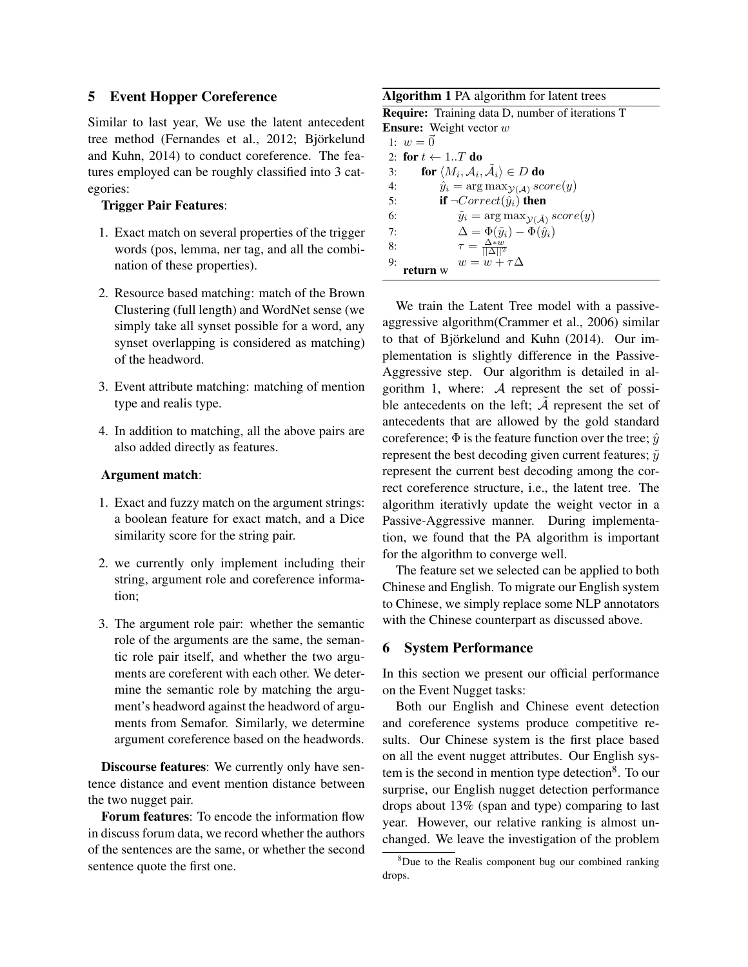# 5 Event Hopper Coreference

Similar to last year, We use the latent antecedent tree method (Fernandes et al., 2012; Björkelund and Kuhn, 2014) to conduct coreference. The features employed can be roughly classified into 3 categories:

### Trigger Pair Features:

- 1. Exact match on several properties of the trigger words (pos, lemma, ner tag, and all the combination of these properties).
- 2. Resource based matching: match of the Brown Clustering (full length) and WordNet sense (we simply take all synset possible for a word, any synset overlapping is considered as matching) of the headword.
- 3. Event attribute matching: matching of mention type and realis type.
- 4. In addition to matching, all the above pairs are also added directly as features.

#### Argument match:

- 1. Exact and fuzzy match on the argument strings: a boolean feature for exact match, and a Dice similarity score for the string pair.
- 2. we currently only implement including their string, argument role and coreference information;
- 3. The argument role pair: whether the semantic role of the arguments are the same, the semantic role pair itself, and whether the two arguments are coreferent with each other. We determine the semantic role by matching the argument's headword against the headword of arguments from Semafor. Similarly, we determine argument coreference based on the headwords.

Discourse features: We currently only have sentence distance and event mention distance between the two nugget pair.

Forum features: To encode the information flow in discuss forum data, we record whether the authors of the sentences are the same, or whether the second sentence quote the first one.

# Algorithm 1 PA algorithm for latent trees

| <b>Require:</b> Training data D, number of iterations T                        |
|--------------------------------------------------------------------------------|
| <b>Ensure:</b> Weight vector $w$                                               |
| 1: $w = \vec{0}$                                                               |
| 2: for $t \leftarrow 1T$ do                                                    |
| for $\langle M_i, \mathcal{A}_i, \tilde{\mathcal{A}}_i \rangle \in D$ do<br>3: |
| $\hat{y}_i = \arg \max_{\mathcal{Y}(\mathcal{A})} score(y)$<br>4:              |
| if $\neg Correct(\hat{y}_i)$ then<br>5:                                        |
| $\tilde{y}_i = \arg \max_{\mathcal{Y}(\tilde{\mathcal{A}})} score(y)$<br>6:    |
| $\Delta = \Phi(\tilde{y}_i) - \Phi(\hat{y}_i)$<br>7:                           |
| $\tau = \frac{\Delta w}{\ \Delta\ ^2}$<br>8:                                   |
| $w = w + \tau \Delta$<br>9:                                                    |

We train the Latent Tree model with a passiveaggressive algorithm(Crammer et al., 2006) similar to that of Björkelund and Kuhn  $(2014)$ . Our implementation is slightly difference in the Passive-Aggressive step. Our algorithm is detailed in algorithm 1, where: A represent the set of possible antecedents on the left;  $\tilde{A}$  represent the set of antecedents that are allowed by the gold standard coreference;  $\Phi$  is the feature function over the tree;  $\hat{y}$ represent the best decoding given current features;  $\tilde{y}$ represent the current best decoding among the correct coreference structure, i.e., the latent tree. The algorithm iterativly update the weight vector in a Passive-Aggressive manner. During implementation, we found that the PA algorithm is important for the algorithm to converge well.

The feature set we selected can be applied to both Chinese and English. To migrate our English system to Chinese, we simply replace some NLP annotators with the Chinese counterpart as discussed above.

## 6 System Performance

In this section we present our official performance on the Event Nugget tasks:

Both our English and Chinese event detection and coreference systems produce competitive results. Our Chinese system is the first place based on all the event nugget attributes. Our English system is the second in mention type detection<sup>8</sup>. To our surprise, our English nugget detection performance drops about 13% (span and type) comparing to last year. However, our relative ranking is almost unchanged. We leave the investigation of the problem

 $8$ Due to the Realis component bug our combined ranking drops.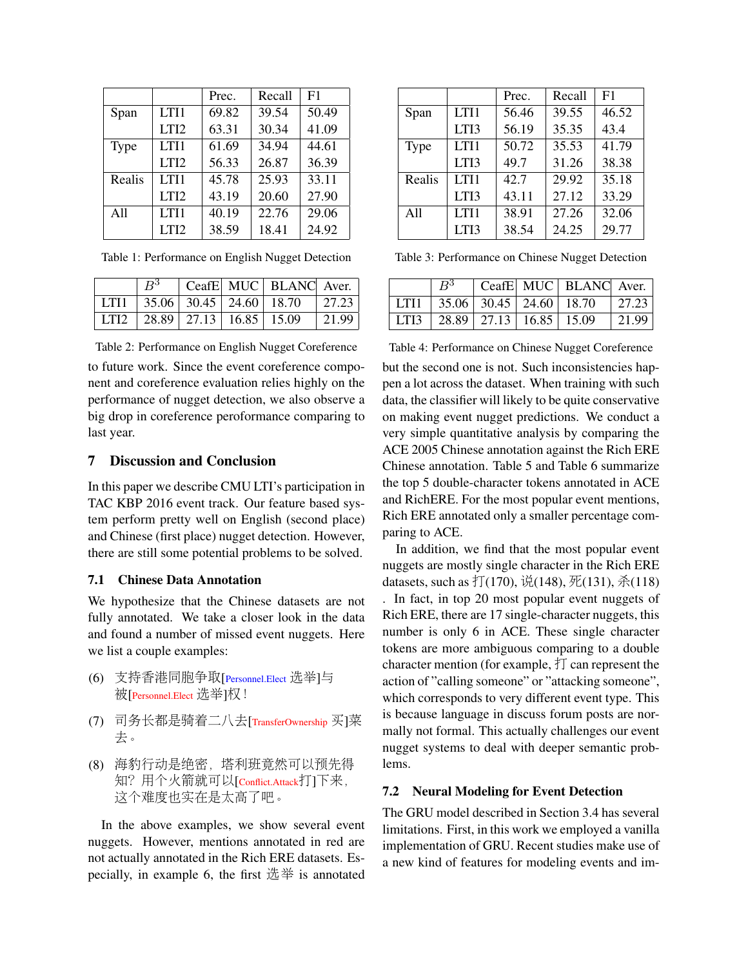|        |                  | Prec. | Recall | F1    |
|--------|------------------|-------|--------|-------|
| Span   | LTI1             | 69.82 | 39.54  | 50.49 |
|        | LTI <sub>2</sub> | 63.31 | 30.34  | 41.09 |
| Type   | LTI1             | 61.69 | 34.94  | 44.61 |
|        | LTI2             | 56.33 | 26.87  | 36.39 |
| Realis | LTI1             | 45.78 | 25.93  | 33.11 |
|        | LTI <sub>2</sub> | 43.19 | 20.60  | 27.90 |
| A11    | LTI1             | 40.19 | 22.76  | 29.06 |
|        | LTI <sub>2</sub> | 38.59 | 18.41  | 24.92 |

Table 1: Performance on English Nugget Detection

| $R^3$ |                                      | CeafE MUC BLANC Aver.                        |        |
|-------|--------------------------------------|----------------------------------------------|--------|
|       |                                      | LTI1   35.06   30.45   24.60   18.70   27.23 |        |
|       | LTI2   28.89   27.13   16.85   15.09 |                                              | 121.99 |

Table 2: Performance on English Nugget Coreference to future work. Since the event coreference component and coreference evaluation relies highly on the performance of nugget detection, we also observe a big drop in coreference peroformance comparing to last year.

#### 7 Discussion and Conclusion

In this paper we describe CMU LTI's participation in TAC KBP 2016 event track. Our feature based system perform pretty well on English (second place) and Chinese (first place) nugget detection. However, there are still some potential problems to be solved.

## 7.1 Chinese Data Annotation

We hypothesize that the Chinese datasets are not fully annotated. We take a closer look in the data and found a number of missed event nuggets. Here we list a couple examples:

- (6) 支持香港同胞争取[Personnel.Elect 选举]与 被[Personnel.Elect 选举]权!
- (7) <sup>司</sup>务长都是骑着二八去[TransferOwnership <sup>买</sup>]<sup>菜</sup> 去。
- (8) <sup>海</sup>豹行动是绝密,塔利班竟然可以预先得 知?用个火箭就可以[Conflict.Attack打]下来, <sup>这</sup>个难度也实在是太高了吧。

In the above examples, we show several event nuggets. However, mentions annotated in red are not actually annotated in the Rich ERE datasets. Especially, in example 6, the first 选举 is annotated

|        |      | Prec. | Recall | F1    |
|--------|------|-------|--------|-------|
| Span   | LTI1 | 56.46 | 39.55  | 46.52 |
|        | LTI3 | 56.19 | 35.35  | 43.4  |
| Type   | LTI1 | 50.72 | 35.53  | 41.79 |
|        | LTI3 | 49.7  | 31.26  | 38.38 |
| Realis | LTI1 | 42.7  | 29.92  | 35.18 |
|        | LTI3 | 43.11 | 27.12  | 33.29 |
| A11    | LTI1 | 38.91 | 27.26  | 32.06 |
|        | LTI3 | 38.54 | 24.25  | 29.77 |

Table 3: Performance on Chinese Nugget Detection

|      | $R^3$                                |  | CeafE MUC BLANC Aver.                                   |                     |
|------|--------------------------------------|--|---------------------------------------------------------|---------------------|
| LTI1 |                                      |  | $\vert$ 35.06 $\vert$ 30.45 $\vert$ 24.60 $\vert$ 18.70 | $\mid$ 27.23        |
|      | LTI3   28.89   27.13   16.85   15.09 |  |                                                         | $\vert 21.99 \vert$ |

Table 4: Performance on Chinese Nugget Coreference but the second one is not. Such inconsistencies happen a lot across the dataset. When training with such data, the classifier will likely to be quite conservative on making event nugget predictions. We conduct a very simple quantitative analysis by comparing the ACE 2005 Chinese annotation against the Rich ERE Chinese annotation. Table 5 and Table 6 summarize the top 5 double-character tokens annotated in ACE and RichERE. For the most popular event mentions, Rich ERE annotated only a smaller percentage comparing to ACE.

In addition, we find that the most popular event nuggets are mostly single character in the Rich ERE datasets, such as  $\ddagger$  (170), 说(148), 死(131), 杀(118) . In fact, in top 20 most popular event nuggets of Rich ERE, there are 17 single-character nuggets, this number is only 6 in ACE. These single character tokens are more ambiguous comparing to a double character mention (for example,  $\dagger \text{T}$  can represent the action of "calling someone" or "attacking someone", which corresponds to very different event type. This is because language in discuss forum posts are normally not formal. This actually challenges our event nugget systems to deal with deeper semantic problems.

## 7.2 Neural Modeling for Event Detection

The GRU model described in Section 3.4 has several limitations. First, in this work we employed a vanilla implementation of GRU. Recent studies make use of a new kind of features for modeling events and im-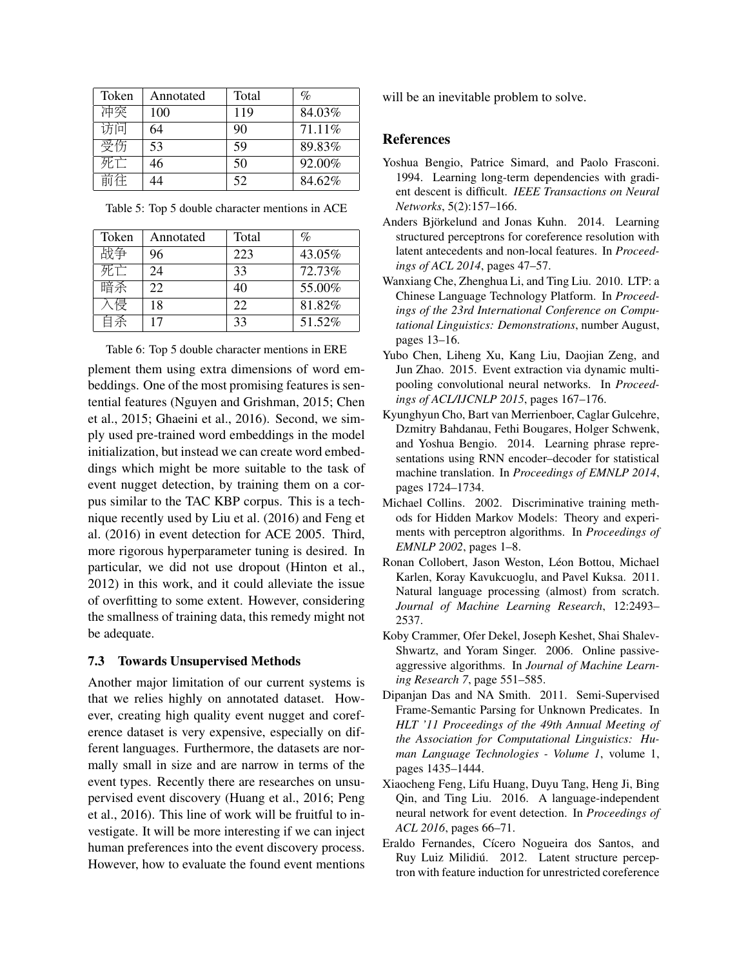| Annotated | Total | $\%$   |
|-----------|-------|--------|
| 100       | 119   | 84.03% |
| 64        | 90    | 71.11% |
| 53        | 59    | 89.83% |
| 46        | 50    | 92.00% |
| 14        | 52    | 84.62% |
|           |       |        |

Table 5: Top 5 double character mentions in ACE

| Token | Annotated | Total | $\%$   |
|-------|-----------|-------|--------|
| 战争    | 96        | 223   | 43.05% |
| 死亡    | 24        | 33    | 72.73% |
| 暗杀    | 22.       | 40    | 55.00% |
| \侵    | 18        | 22    | 81.82% |
| 系ト    | 17        | 33    | 51.52% |

Table 6: Top 5 double character mentions in ERE

plement them using extra dimensions of word embeddings. One of the most promising features is sentential features (Nguyen and Grishman, 2015; Chen et al., 2015; Ghaeini et al., 2016). Second, we simply used pre-trained word embeddings in the model initialization, but instead we can create word embeddings which might be more suitable to the task of event nugget detection, by training them on a corpus similar to the TAC KBP corpus. This is a technique recently used by Liu et al. (2016) and Feng et al. (2016) in event detection for ACE 2005. Third, more rigorous hyperparameter tuning is desired. In particular, we did not use dropout (Hinton et al., 2012) in this work, and it could alleviate the issue of overfitting to some extent. However, considering the smallness of training data, this remedy might not be adequate.

# 7.3 Towards Unsupervised Methods

Another major limitation of our current systems is that we relies highly on annotated dataset. However, creating high quality event nugget and coreference dataset is very expensive, especially on different languages. Furthermore, the datasets are normally small in size and are narrow in terms of the event types. Recently there are researches on unsupervised event discovery (Huang et al., 2016; Peng et al., 2016). This line of work will be fruitful to investigate. It will be more interesting if we can inject human preferences into the event discovery process. However, how to evaluate the found event mentions will be an inevitable problem to solve.

# References

- Yoshua Bengio, Patrice Simard, and Paolo Frasconi. 1994. Learning long-term dependencies with gradient descent is difficult. *IEEE Transactions on Neural Networks*, 5(2):157–166.
- Anders Björkelund and Jonas Kuhn. 2014. Learning structured perceptrons for coreference resolution with latent antecedents and non-local features. In *Proceedings of ACL 2014*, pages 47–57.
- Wanxiang Che, Zhenghua Li, and Ting Liu. 2010. LTP: a Chinese Language Technology Platform. In *Proceedings of the 23rd International Conference on Computational Linguistics: Demonstrations*, number August, pages 13–16.
- Yubo Chen, Liheng Xu, Kang Liu, Daojian Zeng, and Jun Zhao. 2015. Event extraction via dynamic multipooling convolutional neural networks. In *Proceedings of ACL/IJCNLP 2015*, pages 167–176.
- Kyunghyun Cho, Bart van Merrienboer, Caglar Gulcehre, Dzmitry Bahdanau, Fethi Bougares, Holger Schwenk, and Yoshua Bengio. 2014. Learning phrase representations using RNN encoder–decoder for statistical machine translation. In *Proceedings of EMNLP 2014*, pages 1724–1734.
- Michael Collins. 2002. Discriminative training methods for Hidden Markov Models: Theory and experiments with perceptron algorithms. In *Proceedings of EMNLP 2002*, pages 1–8.
- Ronan Collobert, Jason Weston, Léon Bottou, Michael Karlen, Koray Kavukcuoglu, and Pavel Kuksa. 2011. Natural language processing (almost) from scratch. *Journal of Machine Learning Research*, 12:2493– 2537.
- Koby Crammer, Ofer Dekel, Joseph Keshet, Shai Shalev-Shwartz, and Yoram Singer. 2006. Online passiveaggressive algorithms. In *Journal of Machine Learning Research 7*, page 551–585.
- Dipanjan Das and NA Smith. 2011. Semi-Supervised Frame-Semantic Parsing for Unknown Predicates. In *HLT '11 Proceedings of the 49th Annual Meeting of the Association for Computational Linguistics: Human Language Technologies - Volume 1*, volume 1, pages 1435–1444.
- Xiaocheng Feng, Lifu Huang, Duyu Tang, Heng Ji, Bing Qin, and Ting Liu. 2016. A language-independent neural network for event detection. In *Proceedings of ACL 2016*, pages 66–71.
- Eraldo Fernandes, Cícero Nogueira dos Santos, and Ruy Luiz Milidiú. 2012. Latent structure perceptron with feature induction for unrestricted coreference